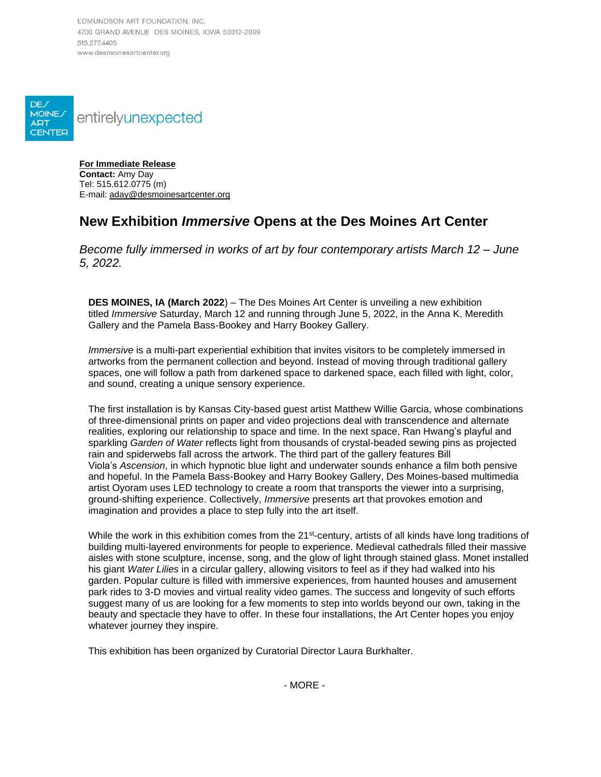EDMUNDSON ART FOUNDATION, INC. 4700 GRAND AVENUE DES MOINES, IOWA 50312-2099 515 277 4405 www.desmoinesartcenter.org



**For Immediate Release Contact:** Amy Day Tel: 515.612.0775 (m) E-mail[: aday@desmoinesartcenter.org](mailto:aday@desmoinesartcenter.org)

## **New Exhibition** *Immersive* **Opens at the Des Moines Art Center**

*Become fully immersed in works of art by four contemporary artists March 12 – June 5, 2022.*

**DES MOINES, IA (March 2022**) – The Des Moines Art Center is unveiling a new exhibition titled *Immersive* Saturday, March 12 and running through June 5, 2022, in the Anna K. Meredith Gallery and the Pamela Bass-Bookey and Harry Bookey Gallery.

*Immersive* is a multi-part experiential exhibition that invites visitors to be completely immersed in artworks from the permanent collection and beyond. Instead of moving through traditional gallery spaces, one will follow a path from darkened space to darkened space, each filled with light, color, and sound, creating a unique sensory experience.

The first installation is by Kansas City-based guest artist Matthew Willie Garcia, whose combinations of three-dimensional prints on paper and video projections deal with transcendence and alternate realities, exploring our relationship to space and time. In the next space, Ran Hwang's playful and sparkling *Garden of Water* reflects light from thousands of crystal-beaded sewing pins as projected rain and spiderwebs fall across the artwork. The third part of the gallery features Bill Viola's *Ascension*, in which hypnotic blue light and underwater sounds enhance a film both pensive and hopeful. In the Pamela Bass-Bookey and Harry Bookey Gallery, Des Moines-based multimedia artist Oyoram uses LED technology to create a room that transports the viewer into a surprising, ground-shifting experience. Collectively, *Immersive* presents art that provokes emotion and imagination and provides a place to step fully into the art itself.

While the work in this exhibition comes from the 21<sup>st</sup>-century, artists of all kinds have long traditions of building multi-layered environments for people to experience. Medieval cathedrals filled their massive aisles with stone sculpture, incense, song, and the glow of light through stained glass. Monet installed his giant *Water Lilies* in a circular gallery, allowing visitors to feel as if they had walked into his garden. Popular culture is filled with immersive experiences, from haunted houses and amusement park rides to 3-D movies and virtual reality video games. The success and longevity of such efforts suggest many of us are looking for a few moments to step into worlds beyond our own, taking in the beauty and spectacle they have to offer. In these four installations, the Art Center hopes you enjoy whatever journey they inspire.

This exhibition has been organized by Curatorial Director Laura Burkhalter.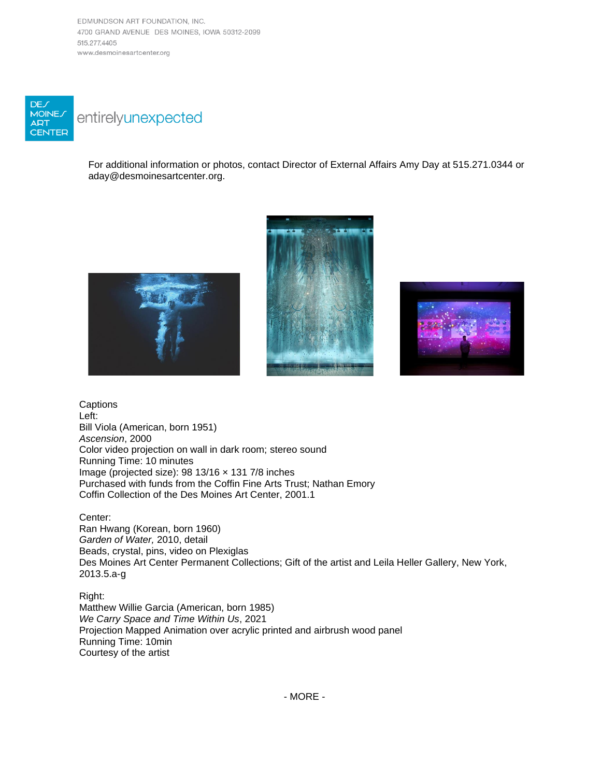EDMUNDSON ART FOUNDATION, INC. 4700 GRAND AVENUE DES MOINES, IOWA 50312-2099 515 277 4405 www.desmoinesartcenter.org



For additional information or photos, contact Director of External Affairs Amy Day at 515.271.0344 or aday@desmoinesartcenter.org.







**Captions** Left: Bill Viola (American, born 1951) *Ascension*, 2000 Color video projection on wall in dark room; stereo sound Running Time: 10 minutes Image (projected size): 98 13/16  $\times$  131 7/8 inches Purchased with funds from the Coffin Fine Arts Trust; Nathan Emory Coffin Collection of the Des Moines Art Center, 2001.1

## Center:

Ran Hwang (Korean, born 1960) *Garden of Water,* 2010, detail Beads, crystal, pins, video on Plexiglas Des Moines Art Center Permanent Collections; Gift of the artist and Leila Heller Gallery, New York, 2013.5.a-g

Right: Matthew Willie Garcia (American, born 1985) *We Carry Space and Time Within Us*, 2021 Projection Mapped Animation over acrylic printed and airbrush wood panel Running Time: 10min Courtesy of the artist